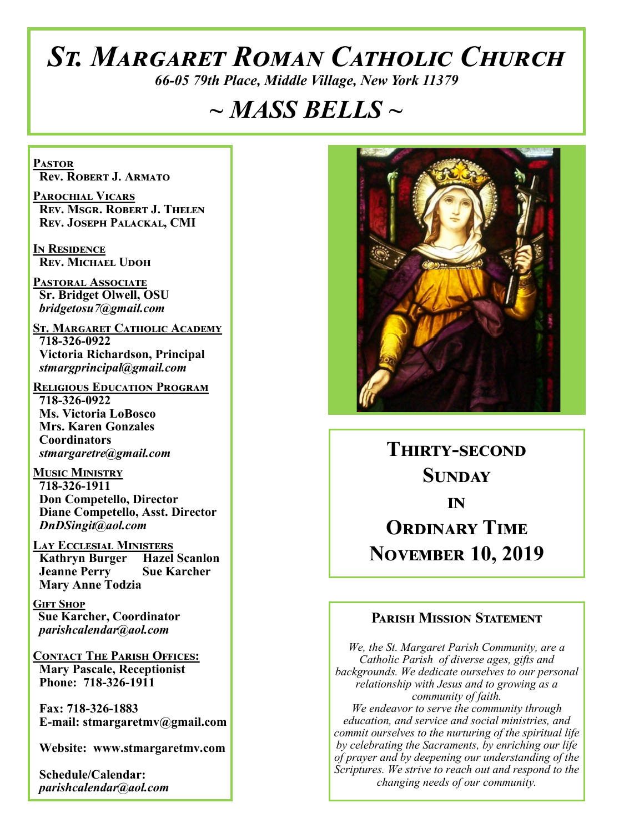# *St. Margaret Roman Catholic Church*

*66-05 79th Place, Middle Village, New York 11379*

# *~ MASS BELLS ~*

**Pastor Rev. Robert J. Armato**

**Parochial Vicars Rev. Msgr. Robert J. Thelen Rev. Joseph Palackal, CMI**

**In Residence Rev. Michael Udoh**

**Pastoral Associate Sr. Bridget Olwell, OSU**  *bridgetosu7@gmail.com*

**St. Margaret Catholic Academy 718-326-0922 Victoria Richardson, Principal**  *stmargprincipal@gmail.com*

**Religious Education Program 718-326-0922 Ms. Victoria LoBosco Mrs. Karen Gonzales Coordinators** *stmargaretre@gmail.com*

**Music Ministry 718-326-1911 Don Competello, Director Diane Competello, Asst. Director** *DnDSingit@aol.com*

**Lay Ecclesial Ministers Kathryn Burger Hazel Scanlon**<br>**Jeanne Perry Sue Karcher Jeanne Perry Mary Anne Todzia**

**Gift Shop Sue Karcher, Coordinator** *parishcalendar@aol.com*

**Contact The Parish Offices: Mary Pascale, Receptionist Phone: 718-326-1911** 

 **Fax: 718-326-1883 E-mail: stmargaretmv@gmail.com**

 **Website: www.stmargaretmv.com**

 **Schedule/Calendar:** *parishcalendar@aol.com* 



**Thirty-second Sunday in ORDINARY TIME November 10, 2019** 

#### **Parish Mission Statement**

*We, the St. Margaret Parish Community, are a Catholic Parish of diverse ages, gifts and backgrounds. We dedicate ourselves to our personal relationship with Jesus and to growing as a community of faith. We endeavor to serve the community through education, and service and social ministries, and commit ourselves to the nurturing of the spiritual life by celebrating the Sacraments, by enriching our life of prayer and by deepening our understanding of the Scriptures. We strive to reach out and respond to the changing needs of our community.*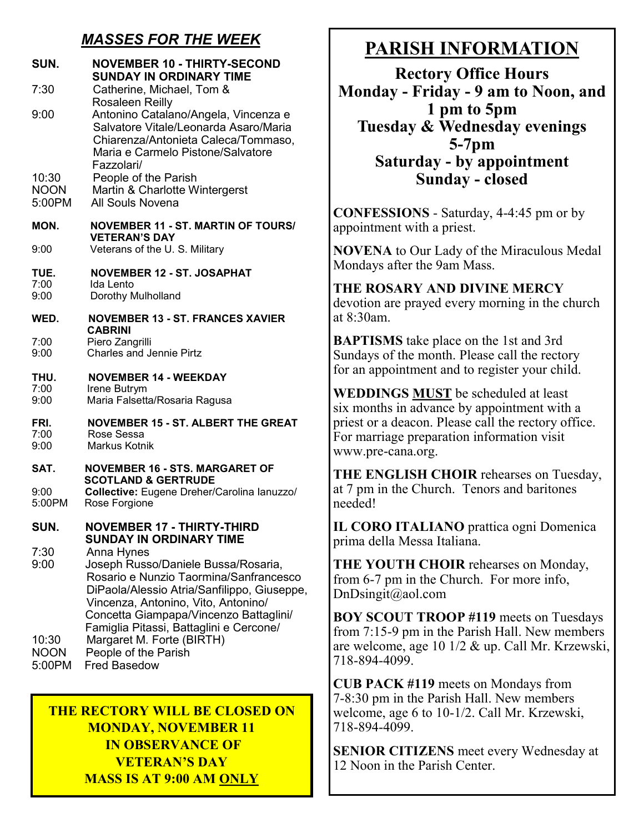# *MASSES FOR THE WEEK*

| SUN.                                           | <b>NOVEMBER 10 - THIRTY-SECOND</b><br><b>SUNDAY IN ORDINARY TIME</b>                                                                                                                                                                                                                                                                               |
|------------------------------------------------|----------------------------------------------------------------------------------------------------------------------------------------------------------------------------------------------------------------------------------------------------------------------------------------------------------------------------------------------------|
| 7:30                                           | Catherine, Michael, Tom &<br>Rosaleen Reilly                                                                                                                                                                                                                                                                                                       |
| 9:00                                           | Antonino Catalano/Angela, Vincenza e<br>Salvatore Vitale/Leonarda Asaro/Maria<br>Chiarenza/Antonieta Caleca/Tommaso,<br>Maria e Carmelo Pistone/Salvatore<br>Fazzolari/                                                                                                                                                                            |
| 10:30<br><b>NOON</b><br>5:00PM                 | People of the Parish<br>Martin & Charlotte Wintergerst<br>All Souls Novena                                                                                                                                                                                                                                                                         |
| MON.<br>9:00                                   | <b>NOVEMBER 11 - ST. MARTIN OF TOURS/</b><br><b>VETERAN'S DAY</b><br>Veterans of the U.S. Military                                                                                                                                                                                                                                                 |
| TUE.<br>7:00<br>9:00                           | <b>NOVEMBER 12 - ST. JOSAPHAT</b><br><b>Ida Lento</b><br>Dorothy Mulholland                                                                                                                                                                                                                                                                        |
| WED.                                           | <b>NOVEMBER 13 - ST. FRANCES XAVIER</b>                                                                                                                                                                                                                                                                                                            |
| 7:00<br>9:00                                   | <b>CABRINI</b><br>Piero Zangrilli<br><b>Charles and Jennie Pirtz</b>                                                                                                                                                                                                                                                                               |
| THU.<br>7:00<br>9:00                           | <b>NOVEMBER 14 - WEEKDAY</b><br>Irene Butrym<br>Maria Falsetta/Rosaria Ragusa                                                                                                                                                                                                                                                                      |
| FRI.<br>7:00<br>9:00                           | <b>NOVEMBER 15 - ST. ALBERT THE GREAT</b><br>Rose Sessa<br>Markus Kotnik                                                                                                                                                                                                                                                                           |
| SAT.                                           | <b>NOVEMBER 16 - STS. MARGARET OF</b><br><b>SCOTLAND &amp; GERTRUDE</b>                                                                                                                                                                                                                                                                            |
| 9:00<br>5:00PM                                 | Collective: Eugene Dreher/Carolina lanuzzo/<br>Rose Forgione                                                                                                                                                                                                                                                                                       |
| SUN.                                           | <b>NOVEMBER 17 - THIRTY-THIRD</b><br><b>SUNDAY IN ORDINARY TIME</b>                                                                                                                                                                                                                                                                                |
| 7:30<br>9:00<br>10:30<br><b>NOON</b><br>5:00PM | Anna Hynes<br>Joseph Russo/Daniele Bussa/Rosaria,<br>Rosario e Nunzio Taormina/Sanfrancesco<br>DiPaola/Alessio Atria/Sanfilippo, Giuseppe,<br>Vincenza, Antonino, Vito, Antonino/<br>Concetta Giampapa/Vincenzo Battaglini/<br>Famiglia Pitassi, Battaglini e Cercone/<br>Margaret M. Forte (BIRTH)<br>People of the Parish<br><b>Fred Basedow</b> |

#### **THE RECTORY WILL BE CLOSED ON MONDAY, NOVEMBER 11 IN OBSERVANCE OF VETERAN'S DAY MASS IS AT 9:00 AM ONLY**

# **PARISH INFORMATION**

**Rectory Office Hours Monday - Friday - 9 am to Noon, and 1 pm to 5pm Tuesday & Wednesday evenings 5-7pm Saturday - by appointment Sunday - closed**

**CONFESSIONS** - Saturday, 4-4:45 pm or by appointment with a priest.

**NOVENA** to Our Lady of the Miraculous Medal Mondays after the 9am Mass.

**THE ROSARY AND DIVINE MERCY**  devotion are prayed every morning in the church at 8:30am.

**BAPTISMS** take place on the 1st and 3rd Sundays of the month. Please call the rectory for an appointment and to register your child.

**WEDDINGS MUST** be scheduled at least six months in advance by appointment with a priest or a deacon. Please call the rectory office. For marriage preparation information visit www.pre-cana.org.

**THE ENGLISH CHOIR** rehearses on Tuesday, at 7 pm in the Church. Tenors and baritones needed!

**IL CORO ITALIANO** prattica ogni Domenica prima della Messa Italiana.

**THE YOUTH CHOIR** rehearses on Monday, from 6-7 pm in the Church. For more info, DnDsingit@aol.com

**BOY SCOUT TROOP #119** meets on Tuesdays from 7:15-9 pm in the Parish Hall. New members are welcome, age 10 1/2 & up. Call Mr. Krzewski, 718-894-4099.

**CUB PACK #119** meets on Mondays from 7-8:30 pm in the Parish Hall. New members welcome, age 6 to 10-1/2. Call Mr. Krzewski, 718-894-4099.

**SENIOR CITIZENS** meet every Wednesday at 12 Noon in the Parish Center.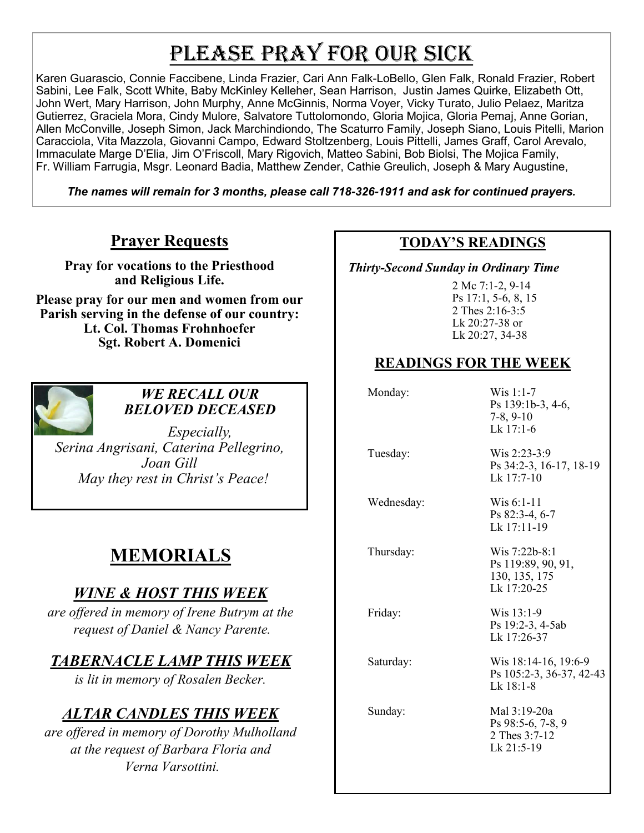# PLEASE PRAY FOR OUR SICK

Karen Guarascio, Connie Faccibene, Linda Frazier, Cari Ann Falk-LoBello, Glen Falk, Ronald Frazier, Robert Sabini, Lee Falk, Scott White, Baby McKinley Kelleher, Sean Harrison, Justin James Quirke, Elizabeth Ott, John Wert, Mary Harrison, John Murphy, Anne McGinnis, Norma Voyer, Vicky Turato, Julio Pelaez, Maritza Gutierrez, Graciela Mora, Cindy Mulore, Salvatore Tuttolomondo, Gloria Mojica, Gloria Pemaj, Anne Gorian, Allen McConville, Joseph Simon, Jack Marchindiondo, The Scaturro Family, Joseph Siano, Louis Pitelli, Marion Caracciola, Vita Mazzola, Giovanni Campo, Edward Stoltzenberg, Louis Pittelli, James Graff, Carol Arevalo, Immaculate Marge D'Elia, Jim O'Friscoll, Mary Rigovich, Matteo Sabini, Bob Biolsi, The Mojica Family, Fr. William Farrugia, Msgr. Leonard Badia, Matthew Zender, Cathie Greulich, Joseph & Mary Augustine,

*The names will remain for 3 months, please call 718-326-1911 and ask for continued prayers.*

## **Prayer Requests**

**Pray for vocations to the Priesthood and Religious Life.** 

**Please pray for our men and women from our Parish serving in the defense of our country: Lt. Col. Thomas Frohnhoefer Sgt. Robert A. Domenici** 



#### *WE RECALL OUR BELOVED DECEASED*

*Especially, Serina Angrisani, Caterina Pellegrino, Joan Gill May they rest in Christ's Peace!*

# **MEMORIALS**

# *WINE & HOST THIS WEEK*

*are offered in memory of Irene Butrym at the request of Daniel & Nancy Parente.* 

# *TABERNACLE LAMP THIS WEEK*

*is lit in memory of Rosalen Becker.*

# *ALTAR CANDLES THIS WEEK*

*are offered in memory of Dorothy Mulholland at the request of Barbara Floria and Verna Varsottini.*

#### **TODAY'S READINGS**

 *Thirty-Second Sunday in Ordinary Time* 

2 Mc 7:1-2, 9-14 Ps 17:1, 5-6, 8, 15 2 Thes 2:16-3:5 Lk 20:27-38 or Lk 20:27, 34-38

# **READINGS FOR THE WEEK**

Monday: Wis 1:1-7 Ps 139:1b-3, 4-6, 7-8, 9-10 Lk 17:1-6

 Tuesday: Wis 2:23-3:9 Ps 34:2-3, 16-17, 18-19 Lk 17:7-10

Wednesday: Wis 6:1-11

Ps 82:3-4, 6-7 Lk 17:11-19

 Thursday: Wis 7:22b-8:1 Ps 119:89, 90, 91, 130, 135, 175 Lk 17:20-25

Friday: Wis 13:1-9

Ps 19:2-3, 4-5ab Lk 17:26-37

Saturday: Wis 18:14-16, 19:6-9 Ps 105:2-3, 36-37, 42-43 Lk 18:1-8

 Sunday: Mal 3:19-20a Ps 98:5-6, 7-8, 9 2 Thes 3:7-12 Lk 21:5-19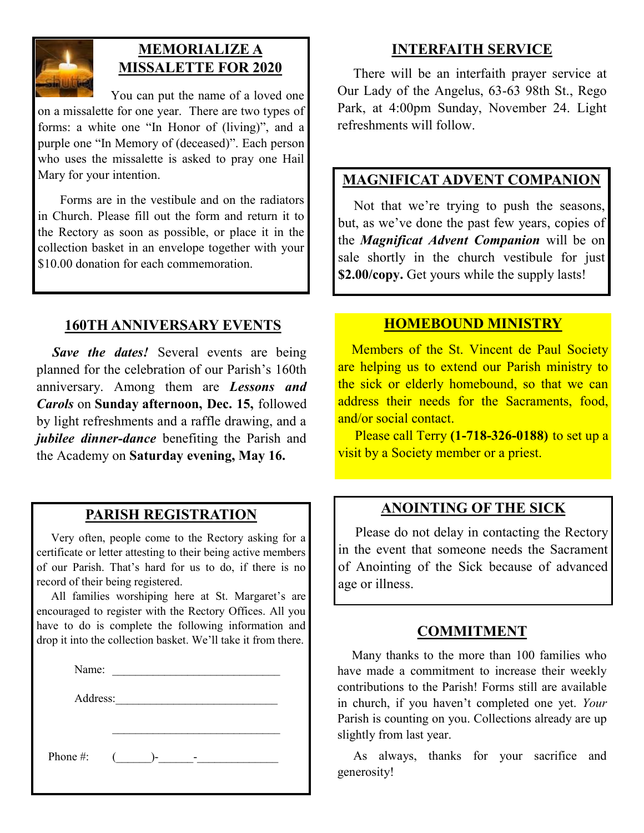

### **MEMORIALIZE A MISSALETTE FOR 2020**

 You can put the name of a loved one on a missalette for one year. There are two types of forms: a white one "In Honor of (living)", and a purple one "In Memory of (deceased)". Each person who uses the missalette is asked to pray one Hail Mary for your intention.

 Forms are in the vestibule and on the radiators in Church. Please fill out the form and return it to the Rectory as soon as possible, or place it in the collection basket in an envelope together with your \$10.00 donation for each commemoration.

## **160TH ANNIVERSARY EVENTS**

 *Save the dates!* Several events are being planned for the celebration of our Parish's 160th anniversary. Among them are *Lessons and Carols* on **Sunday afternoon, Dec. 15,** followed by light refreshments and a raffle drawing, and a *jubilee dinner-dance* benefiting the Parish and the Academy on **Saturday evening, May 16.**

### **PARISH REGISTRATION**

 Very often, people come to the Rectory asking for a certificate or letter attesting to their being active members of our Parish. That's hard for us to do, if there is no record of their being registered.

 All families worshiping here at St. Margaret's are encouraged to register with the Rectory Offices. All you have to do is complete the following information and drop it into the collection basket. We'll take it from there.

| Name:    |    |            |  |
|----------|----|------------|--|
| Address: |    |            |  |
|          |    |            |  |
|          |    |            |  |
|          | ۱– |            |  |
|          |    | $\sqrt{2}$ |  |

#### **INTERFAITH SERVICE**

 There will be an interfaith prayer service at Our Lady of the Angelus, 63-63 98th St., Rego Park, at 4:00pm Sunday, November 24. Light refreshments will follow.

#### **MAGNIFICAT ADVENT COMPANION**

 Not that we're trying to push the seasons, but, as we've done the past few years, copies of the *Magnificat Advent Companion* will be on sale shortly in the church vestibule for just **\$2.00/copy.** Get yours while the supply lasts!

#### **HOMEBOUND MINISTRY**

 Members of the St. Vincent de Paul Society are helping us to extend our Parish ministry to the sick or elderly homebound, so that we can address their needs for the Sacraments, food, and/or social contact.

 Please call Terry **(1-718-326-0188)** to set up a visit by a Society member or a priest.

#### **ANOINTING OF THE SICK**

 Please do not delay in contacting the Rectory in the event that someone needs the Sacrament of Anointing of the Sick because of advanced age or illness.

#### **COMMITMENT**

 Many thanks to the more than 100 families who have made a commitment to increase their weekly contributions to the Parish! Forms still are available in church, if you haven't completed one yet. *Your*  Parish is counting on you. Collections already are up slightly from last year.

 As always, thanks for your sacrifice and generosity!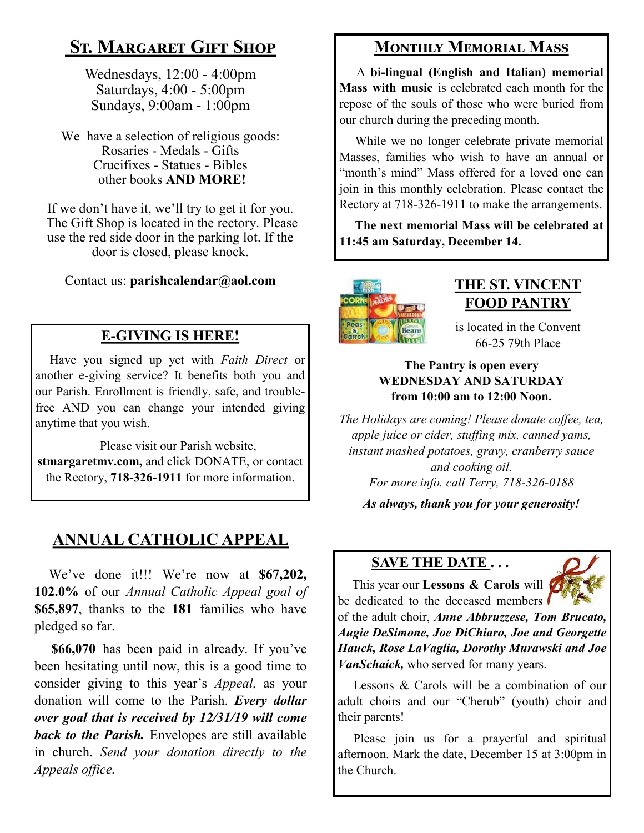# **St. Margaret Gift Shop**

Wednesdays, 12:00 - 4:00pm Saturdays, 4:00 - 5:00pm Sundays, 9:00am - 1:00pm

We have a selection of religious goods: Rosaries - Medals - Gifts Crucifixes - Statues - Bibles other books **AND MORE!**

If we don't have it, we'll try to get it for you. The Gift Shop is located in the rectory. Please use the red side door in the parking lot. If the door is closed, please knock.

Contact us: **parishcalendar@aol.com**

# **E-GIVING IS HERE!**

 Have you signed up yet with *Faith Direct* or another e-giving service? It benefits both you and our Parish. Enrollment is friendly, safe, and troublefree AND you can change your intended giving anytime that you wish.

 Please visit our Parish website, **stmargaretmv.com,** and click DONATE, or contact the Rectory, **718-326-1911** for more information.

# **ANNUAL CATHOLIC APPEAL**

 We've done it!!! We're now at **\$67,202, 102.0%** of our *Annual Catholic Appeal goal of*  **\$65,897**, thanks to the **181** families who have pledged so far.

 **\$66,070** has been paid in already. If you've been hesitating until now, this is a good time to consider giving to this year's *Appeal,* as your donation will come to the Parish. *Every dollar over goal that is received by 12/31/19 will come back to the Parish.* Envelopes are still available in church. *Send your donation directly to the Appeals office.*

# **Monthly Memorial Mass**

 A **bi-lingual (English and Italian) memorial Mass with music** is celebrated each month for the repose of the souls of those who were buried from our church during the preceding month.

 While we no longer celebrate private memorial Masses, families who wish to have an annual or "month's mind" Mass offered for a loved one can join in this monthly celebration. Please contact the Rectory at 718-326-1911 to make the arrangements.

 **The next memorial Mass will be celebrated at 11:45 am Saturday, December 14.** 



# **THE ST. VINCENT FOOD PANTRY**

is located in the Convent 66-25 79th Place

#### **The Pantry is open every WEDNESDAY AND SATURDAY from 10:00 am to 12:00 Noon.**

*The Holidays are coming! Please donate coffee, tea, apple juice or cider, stuffing mix, canned yams, instant mashed potatoes, gravy, cranberry sauce and cooking oil. For more info. call Terry, 718-326-0188*

*As always, thank you for your generosity!*

## **SAVE THE DATE . . .**



 This year our **Lessons & Carols** will be dedicated to the deceased members

of the adult choir, *Anne Abbruzzese, Tom Brucato, Augie DeSimone, Joe DiChiaro, Joe and Georgette Hauck, Rose LaVaglia, Dorothy Murawski and Joe VanSchaick,* who served for many years.

 Lessons & Carols will be a combination of our adult choirs and our "Cherub" (youth) choir and their parents!

 Please join us for a prayerful and spiritual afternoon. Mark the date, December 15 at 3:00pm in the Church.